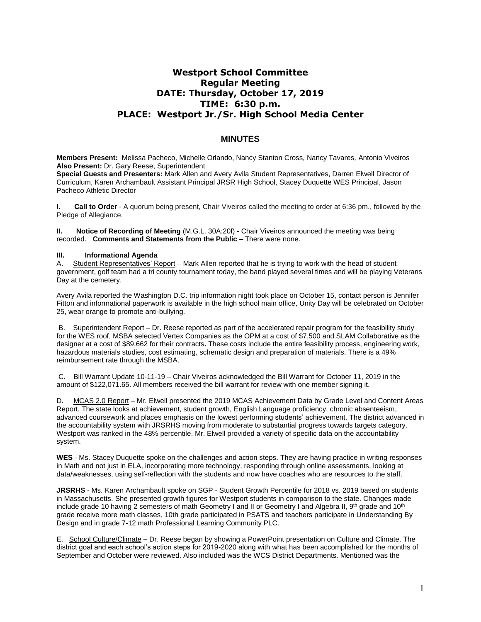# **Westport School Committee Regular Meeting DATE: Thursday, October 17, 2019 TIME: 6:30 p.m. PLACE: Westport Jr./Sr. High School Media Center**

### **MINUTES**

**Members Present:** Melissa Pacheco, Michelle Orlando, Nancy Stanton Cross, Nancy Tavares*,* Antonio Viveiros **Also Present:** Dr. Gary Reese, Superintendent

**Special Guests and Presenters:** Mark Allen and Avery Avila Student Representatives, Darren Elwell Director of Curriculum, Karen Archambault Assistant Principal JRSR High School, Stacey Duquette WES Principal, Jason Pacheco Athletic Director

**I. Call to Order** - A quorum being present, Chair Viveiros called the meeting to order at 6:36 pm., followed by the Pledge of Allegiance.

**II. Notice of Recording of Meeting** (M.G.L. 30A:20f) - Chair Viveiros announced the meeting was being recorded. **Comments and Statements from the Public –** There were none.

#### **III. Informational Agenda**

A. Student Representatives' Report – Mark Allen reported that he is trying to work with the head of student government, golf team had a tri county tournament today, the band played several times and will be playing Veterans Day at the cemetery.

Avery Avila reported the Washington D.C. trip information night took place on October 15, contact person is Jennifer Fitton and informational paperwork is available in the high school main office, Unity Day will be celebrated on October 25, wear orange to promote anti-bullying.

B. Superintendent Report – Dr. Reese reported as part of the accelerated repair program for the feasibility study for the WES roof, MSBA selected Vertex Companies as the OPM at a cost of \$7,500 and SLAM Collaborative as the designer at a cost of \$89,662 for their contracts**.** These costs include the entire feasibility process, engineering work, hazardous materials studies, cost estimating, schematic design and preparation of materials. There is a 49% reimbursement rate through the MSBA.

C. Bill Warrant Update 10-11-19 – Chair Viveiros acknowledged the Bill Warrant for October 11, 2019 in the amount of \$122,071.65. All members received the bill warrant for review with one member signing it.

D. MCAS 2.0 Report – Mr. Elwell presented the 2019 MCAS Achievement Data by Grade Level and Content Areas Report. The state looks at achievement, student growth, English Language proficiency, chronic absenteeism, advanced coursework and places emphasis on the lowest performing students' achievement. The district advanced in the accountability system with JRSRHS moving from moderate to substantial progress towards targets category. Westport was ranked in the 48% percentile. Mr. Elwell provided a variety of specific data on the accountability system.

**WES** - Ms. Stacey Duquette spoke on the challenges and action steps. They are having practice in writing responses in Math and not just in ELA, incorporating more technology, responding through online assessments, looking at data/weaknesses, using self-reflection with the students and now have coaches who are resources to the staff.

**JRSRHS** - Ms. Karen Archambault spoke on SGP - Student Growth Percentile for 2018 vs. 2019 based on students in Massachusetts. She presented growth figures for Westport students in comparison to the state. Changes made include grade 10 having 2 semesters of math Geometry I and II or Geometry I and Algebra II, 9<sup>th</sup> grade and 10<sup>th</sup> grade receive more math classes, 10th grade participated in PSATS and teachers participate in Understanding By Design and in grade 7-12 math Professional Learning Community PLC.

E. School Culture/Climate – Dr. Reese began by showing a PowerPoint presentation on Culture and Climate. The district goal and each school's action steps for 2019-2020 along with what has been accomplished for the months of September and October were reviewed. Also included was the WCS District Departments. Mentioned was the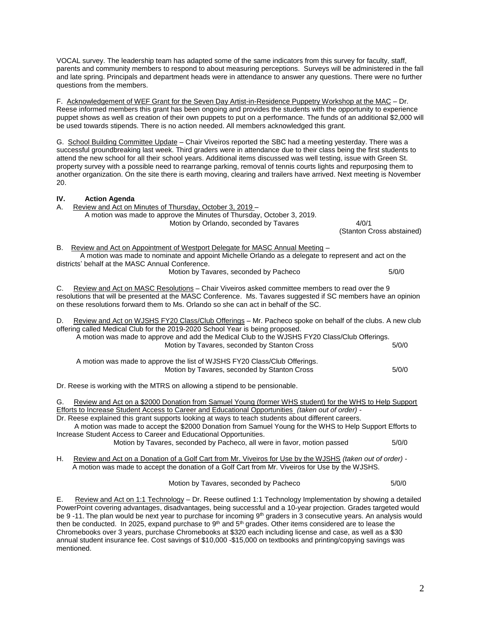VOCAL survey. The leadership team has adapted some of the same indicators from this survey for faculty, staff, parents and community members to respond to about measuring perceptions. Surveys will be administered in the fall and late spring. Principals and department heads were in attendance to answer any questions. There were no further questions from the members.

F. Acknowledgement of WEF Grant for the Seven Day Artist-in-Residence Puppetry Workshop at the MAC – Dr. Reese informed members this grant has been ongoing and provides the students with the opportunity to experience puppet shows as well as creation of their own puppets to put on a performance. The funds of an additional \$2,000 will be used towards stipends. There is no action needed. All members acknowledged this grant.

G. School Building Committee Update – Chair Viveiros reported the SBC had a meeting yesterday. There was a successful groundbreaking last week. Third graders were in attendance due to their class being the first students to attend the new school for all their school years. Additional items discussed was well testing, issue with Green St. property survey with a possible need to rearrange parking, removal of tennis courts lights and repurposing them to another organization. On the site there is earth moving, clearing and trailers have arrived. Next meeting is November 20.

## **IV. Action Agenda** A. Review and Act on Minutes of Thursday, October 3, 2019 – A motion was made to approve the Minutes of Thursday, October 3, 2019. Motion by Orlando, seconded by Tavares 4/0/1 (Stanton Cross abstained) B. Review and Act on Appointment of Westport Delegate for MASC Annual Meeting – A motion was made to nominate and appoint Michelle Orlando as a delegate to represent and act on the districts' behalf at the MASC Annual Conference. Motion by Tavares, seconded by Pacheco 6/0/0 C. Review and Act on MASC Resolutions – Chair Viveiros asked committee members to read over the 9 resolutions that will be presented at the MASC Conference. Ms. Tavares suggested if SC members have an opinion on these resolutions forward them to Ms. Orlando so she can act in behalf of the SC. D. Review and Act on WJSHS FY20 Class/Club Offerings – Mr. Pacheco spoke on behalf of the clubs. A new club

offering called Medical Club for the 2019-2020 School Year is being proposed. A motion was made to approve and add the Medical Club to the WJSHS FY20 Class/Club Offerings. Motion by Tavares, seconded by Stanton Cross 5/0/0 A motion was made to approve the list of WJSHS FY20 Class/Club Offerings. Motion by Tavares, seconded by Stanton Cross 6/0/0

Dr. Reese is working with the MTRS on allowing a stipend to be pensionable.

G. Review and Act on a \$2000 Donation from Samuel Young (former WHS student) for the WHS to Help Support Efforts to Increase Student Access to Career and Educational Opportunities *(taken out of order) -* Dr. Reese explained this grant supports looking at ways to teach students about different careers.

 A motion was made to accept the \$2000 Donation from Samuel Young for the WHS to Help Support Efforts to Increase Student Access to Career and Educational Opportunities.

Motion by Tavares, seconded by Pacheco, all were in favor, motion passed 5/0/0

H. Review and Act on a Donation of a Golf Cart from Mr. Viveiros for Use by the WJSHS *(taken out of order)* - A motion was made to accept the donation of a Golf Cart from Mr. Viveiros for Use by the WJSHS.

Motion by Tavares, seconded by Pacheco 6/0/0

E. Review and Act on 1:1 Technology – Dr. Reese outlined 1:1 Technology Implementation by showing a detailed PowerPoint covering advantages, disadvantages, being successful and a 10-year projection. Grades targeted would be 9 -11. The plan would be next year to purchase for incoming 9<sup>th</sup> graders in 3 consecutive years. An analysis would then be conducted. In 2025, expand purchase to  $9<sup>th</sup>$  and  $5<sup>th</sup>$  grades. Other items considered are to lease the Chromebooks over 3 years, purchase Chromebooks at \$320 each including license and case, as well as a \$30 annual student insurance fee. Cost savings of \$10,000 -\$15,000 on textbooks and printing/copying savings was mentioned.